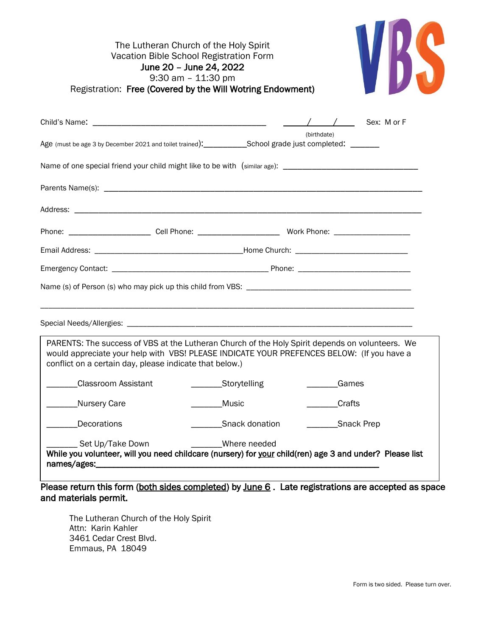|                                                                                                                                                      | The Lutheran Church of the Holy Spirit<br>Vacation Bible School Registration Form<br>June 20 - June 24, 2022<br>$9:30$ am $-11:30$ pm<br>Registration: Free (Covered by the Will Wotring Endowment) |                                                                                                         |
|------------------------------------------------------------------------------------------------------------------------------------------------------|-----------------------------------------------------------------------------------------------------------------------------------------------------------------------------------------------------|---------------------------------------------------------------------------------------------------------|
|                                                                                                                                                      |                                                                                                                                                                                                     |                                                                                                         |
| Age (must be age 3 by December 2021 and toilet trained):___________School grade just completed: _______                                              |                                                                                                                                                                                                     | (birthdate)                                                                                             |
| Name of one special friend your child might like to be with (similar age): __________________________________                                        |                                                                                                                                                                                                     |                                                                                                         |
|                                                                                                                                                      |                                                                                                                                                                                                     |                                                                                                         |
|                                                                                                                                                      |                                                                                                                                                                                                     |                                                                                                         |
| Phone: ___________________________Cell Phone: ___________________________________ Work Phone: ________________                                       |                                                                                                                                                                                                     |                                                                                                         |
|                                                                                                                                                      |                                                                                                                                                                                                     |                                                                                                         |
|                                                                                                                                                      |                                                                                                                                                                                                     |                                                                                                         |
|                                                                                                                                                      |                                                                                                                                                                                                     |                                                                                                         |
|                                                                                                                                                      |                                                                                                                                                                                                     |                                                                                                         |
| would appreciate your help with VBS! PLEASE INDICATE YOUR PREFENCES BELOW: (If you have a<br>conflict on a certain day, please indicate that below.) |                                                                                                                                                                                                     | PARENTS: The success of VBS at the Lutheran Church of the Holy Spirit depends on volunteers. We         |
|                                                                                                                                                      | Classroom Assistant _____________Storytelling                                                                                                                                                       | Games                                                                                                   |
| Nursery Care                                                                                                                                         | <b>Music</b>                                                                                                                                                                                        | Crafts                                                                                                  |
| <b>Decorations</b>                                                                                                                                   | Snack donation                                                                                                                                                                                      | ___________Snack Prep                                                                                   |
| Set Up/Take Down                                                                                                                                     | Where needed                                                                                                                                                                                        | While you volunteer, will you need childcare (nursery) for your child(ren) age 3 and under? Please list |

Please return this form (both sides completed) by June 6. Late registrations are accepted as space and materials permit.

The Lutheran Church of the Holy Spirit Attn: Karin Kahler 3461 Cedar Crest Blvd. Emmaus, PA 18049